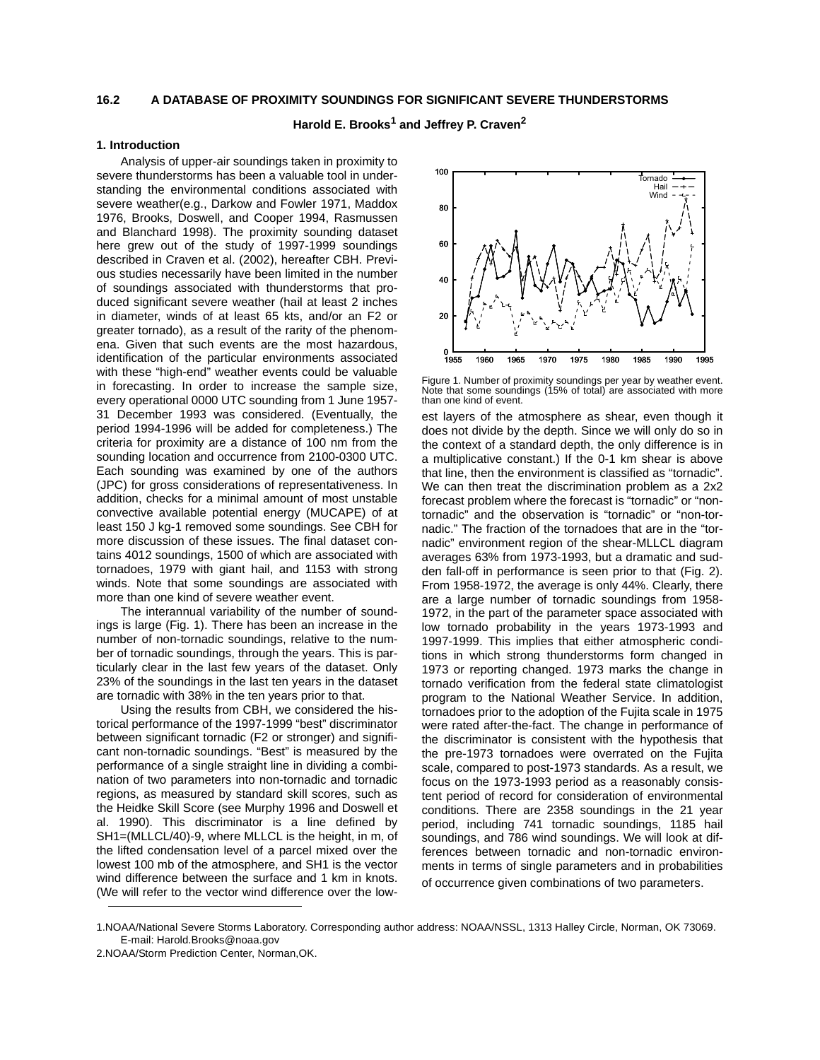#### **16.2 A DATABASE OF PROXIMITY SOUNDINGS FOR SIGNIFICANT SEVERE THUNDERSTORMS**

# **Harold E. Brooks<sup>1</sup> and Jeffrey P. Craven<sup>2</sup>**

### **1. Introduction**

Analysis of upper-air soundings taken in proximity to severe thunderstorms has been a valuable tool in understanding the environmental conditions associated with severe weather(e.g., Darkow and Fowler 1971, Maddox 1976, Brooks, Doswell, and Cooper 1994, Rasmussen and Blanchard 1998). The proximity sounding dataset here grew out of the study of 1997-1999 soundings described in Craven et al. (2002), hereafter CBH. Previous studies necessarily have been limited in the number of soundings associated with thunderstorms that produced significant severe weather (hail at least 2 inches in diameter, winds of at least 65 kts, and/or an F2 or greater tornado), as a result of the rarity of the phenomena. Given that such events are the most hazardous, identification of the particular environments associated with these "high-end" weather events could be valuable in forecasting. In order to increase the sample size, every operational 0000 UTC sounding from 1 June 1957- 31 December 1993 was considered. (Eventually, the period 1994-1996 will be added for completeness.) The criteria for proximity are a distance of 100 nm from the sounding location and occurrence from 2100-0300 UTC. Each sounding was examined by one of the authors (JPC) for gross considerations of representativeness. In addition, checks for a minimal amount of most unstable convective available potential energy (MUCAPE) of at least 150 J kg-1 removed some soundings. See CBH for more discussion of these issues. The final dataset contains 4012 soundings, 1500 of which are associated with tornadoes, 1979 with giant hail, and 1153 with strong winds. Note that some soundings are associated with more than one kind of severe weather event.

The interannual variability of the number of soundings is large (Fig. 1). There has been an increase in the number of non-tornadic soundings, relative to the number of tornadic soundings, through the years. This is particularly clear in the last few years of the dataset. Only 23% of the soundings in the last ten years in the dataset are tornadic with 38% in the ten years prior to that.

Using the results from CBH, we considered the historical performance of the 1997-1999 "best" discriminator between significant tornadic (F2 or stronger) and significant non-tornadic soundings. "Best" is measured by the performance of a single straight line in dividing a combination of two parameters into non-tornadic and tornadic regions, as measured by standard skill scores, such as the Heidke Skill Score (see Murphy 1996 and Doswell et al. 1990). This discriminator is a line defined by SH1=(MLLCL/40)-9, where MLLCL is the height, in m, of the lifted condensation level of a parcel mixed over the lowest 100 mb of the atmosphere, and SH1 is the vector wind difference between the surface and 1 km in knots. (We will refer to the vector wind difference over the low-



Figure 1. Number of proximity soundings per year by weather event. Note that some soundings (15% of total) are associated with more than one kind of event.

est layers of the atmosphere as shear, even though it does not divide by the depth. Since we will only do so in the context of a standard depth, the only difference is in a multiplicative constant.) If the 0-1 km shear is above that line, then the environment is classified as "tornadic". We can then treat the discrimination problem as a 2x2 forecast problem where the forecast is "tornadic" or "nontornadic" and the observation is "tornadic" or "non-tornadic." The fraction of the tornadoes that are in the "tornadic" environment region of the shear-MLLCL diagram averages 63% from 1973-1993, but a dramatic and sudden fall-off in performance is seen prior to that (Fig. 2). From 1958-1972, the average is only 44%. Clearly, there are a large number of tornadic soundings from 1958- 1972, in the part of the parameter space associated with low tornado probability in the years 1973-1993 and 1997-1999. This implies that either atmospheric conditions in which strong thunderstorms form changed in 1973 or reporting changed. 1973 marks the change in tornado verification from the federal state climatologist program to the National Weather Service. In addition, tornadoes prior to the adoption of the Fujita scale in 1975 were rated after-the-fact. The change in performance of the discriminator is consistent with the hypothesis that the pre-1973 tornadoes were overrated on the Fujita scale, compared to post-1973 standards. As a result, we focus on the 1973-1993 period as a reasonably consistent period of record for consideration of environmental conditions. There are 2358 soundings in the 21 year period, including 741 tornadic soundings, 1185 hail soundings, and 786 wind soundings. We will look at differences between tornadic and non-tornadic environments in terms of single parameters and in probabilities of occurrence given combinations of two parameters.

<sup>1.</sup>NOAA/National Severe Storms Laboratory. Corresponding author address: NOAA/NSSL, 1313 Halley Circle, Norman, OK 73069. E-mail: Harold.Brooks@noaa.gov

<sup>2.</sup>NOAA/Storm Prediction Center, Norman,OK.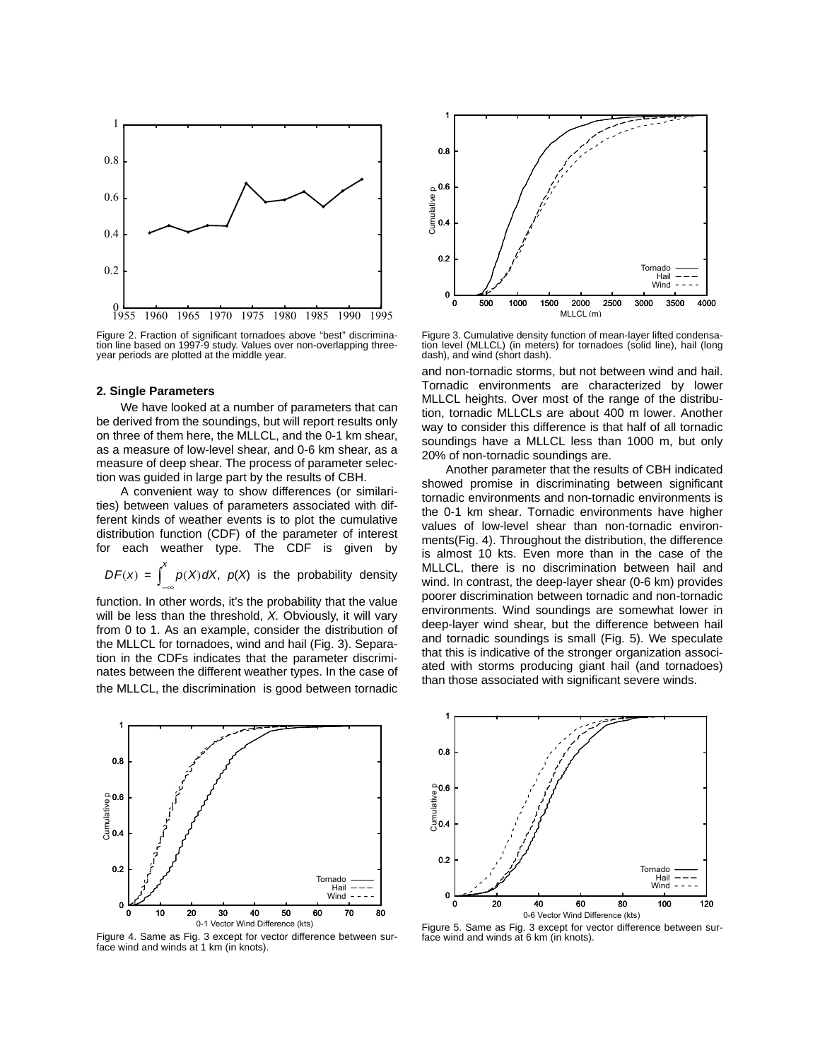

Figure 2. Fraction of significant tornadoes above "best" discrimination line based on 1997-9 study. Values over non-overlapping threeyear periods are plotted at the middle year.

#### **2. Single Parameters**

We have looked at a number of parameters that can be derived from the soundings, but will report results only on three of them here, the MLLCL, and the 0-1 km shear, as a measure of low-level shear, and 0-6 km shear, as a measure of deep shear. The process of parameter selection was guided in large part by the results of CBH.

A convenient way to show differences (or similarities) between values of parameters associated with different kinds of weather events is to plot the cumulative distribution function (CDF) of the parameter of interest for each weather type. The CDF is given by

$$
DF(x) = \int_{-\infty}^{x} p(X) dX, p(X) \text{ is the probability density}
$$

function. In other words, it's the probability that the value will be less than the threshold, *X.* Obviously, it will vary from 0 to 1. As an example, consider the distribution of the MLLCL for tornadoes, wind and hail (Fig. 3). Separation in the CDFs indicates that the parameter discriminates between the different weather types. In the case of the MLLCL, the discrimination is good between tornadic



Figure 3. Cumulative density function of mean-layer lifted condensation level (MLLCL) (in meters) for tornadoes (solid line), hail (long dash), and wind (short dash).

and non-tornadic storms, but not between wind and hail. Tornadic environments are characterized by lower MLLCL heights. Over most of the range of the distribution, tornadic MLLCLs are about 400 m lower. Another way to consider this difference is that half of all tornadic soundings have a MLLCL less than 1000 m, but only 20% of non-tornadic soundings are.

Another parameter that the results of CBH indicated showed promise in discriminating between significant tornadic environments and non-tornadic environments is the 0-1 km shear. Tornadic environments have higher values of low-level shear than non-tornadic environments(Fig. 4). Throughout the distribution, the difference is almost 10 kts. Even more than in the case of the MLLCL, there is no discrimination between hail and wind. In contrast, the deep-layer shear (0-6 km) provides poorer discrimination between tornadic and non-tornadic environments. Wind soundings are somewhat lower in deep-layer wind shear, but the difference between hail and tornadic soundings is small (Fig. 5). We speculate that this is indicative of the stronger organization associated with storms producing giant hail (and tornadoes) than those associated with significant severe winds.



Figure 4. Same as Fig. 3 except for vector difference between surface wind and winds at 1 km (in knots).



Figure 5. Same as Fig. 3 except for vector difference between surface wind and winds at 6 km (in knots).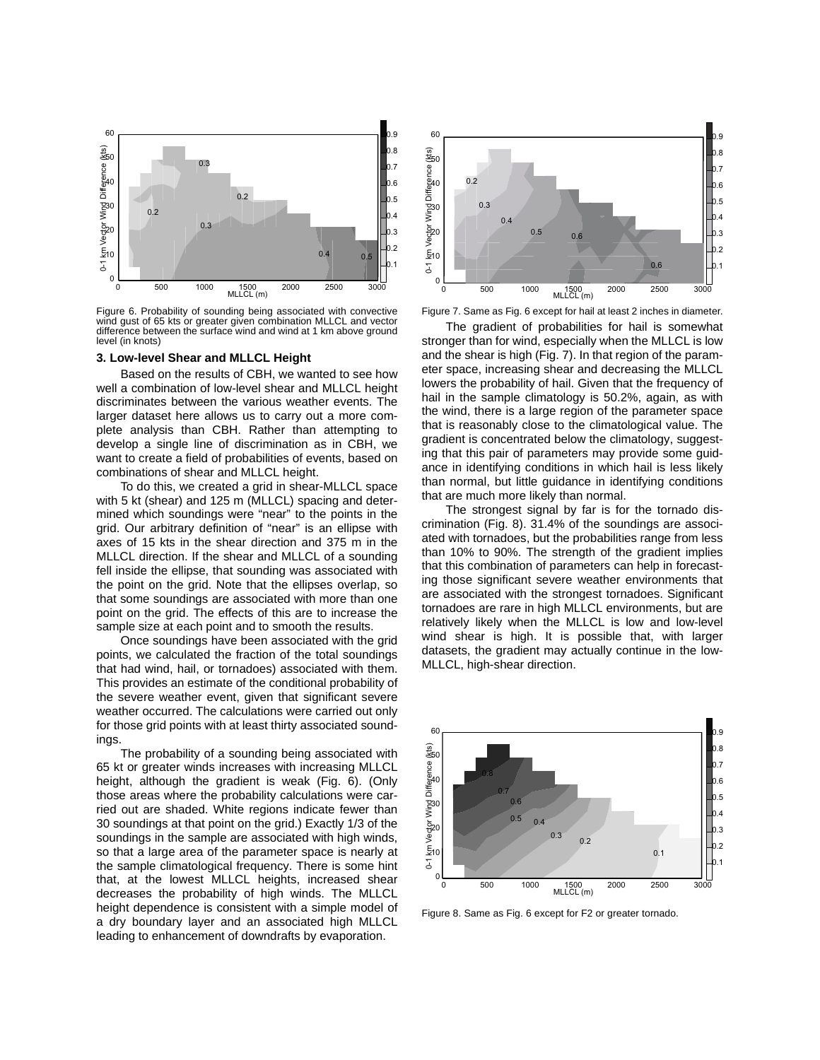

Figure 6. Probability of sounding being associated with convective wind gust of 65 kts or greater given combination MLLCL and vector difference between the surface wind and wind at 1 km above ground level (in knots)

### **3. Low-level Shear and MLLCL Height**

Based on the results of CBH, we wanted to see how well a combination of low-level shear and MLLCL height discriminates between the various weather events. The larger dataset here allows us to carry out a more complete analysis than CBH. Rather than attempting to develop a single line of discrimination as in CBH, we want to create a field of probabilities of events, based on combinations of shear and MLLCL height.

To do this, we created a grid in shear-MLLCL space with 5 kt (shear) and 125 m (MLLCL) spacing and determined which soundings were "near" to the points in the grid. Our arbitrary definition of "near" is an ellipse with axes of 15 kts in the shear direction and 375 m in the MLLCL direction. If the shear and MLLCL of a sounding fell inside the ellipse, that sounding was associated with the point on the grid. Note that the ellipses overlap, so that some soundings are associated with more than one point on the grid. The effects of this are to increase the sample size at each point and to smooth the results.

Once soundings have been associated with the grid points, we calculated the fraction of the total soundings that had wind, hail, or tornadoes) associated with them. This provides an estimate of the conditional probability of the severe weather event, given that significant severe weather occurred. The calculations were carried out only for those grid points with at least thirty associated soundings.

The probability of a sounding being associated with 65 kt or greater winds increases with increasing MLLCL height, although the gradient is weak (Fig. 6). (Only those areas where the probability calculations were carried out are shaded. White regions indicate fewer than 30 soundings at that point on the grid.) Exactly 1/3 of the soundings in the sample are associated with high winds, so that a large area of the parameter space is nearly at the sample climatological frequency. There is some hint that, at the lowest MLLCL heights, increased shear decreases the probability of high winds. The MLLCL height dependence is consistent with a simple model of a dry boundary layer and an associated high MLLCL leading to enhancement of downdrafts by evaporation.



Figure 7. Same as Fig. 6 except for hail at least 2 inches in diameter.

The gradient of probabilities for hail is somewhat stronger than for wind, especially when the MLLCL is low and the shear is high (Fig. 7). In that region of the parameter space, increasing shear and decreasing the MLLCL lowers the probability of hail. Given that the frequency of hail in the sample climatology is 50.2%, again, as with the wind, there is a large region of the parameter space that is reasonably close to the climatological value. The gradient is concentrated below the climatology, suggesting that this pair of parameters may provide some guidance in identifying conditions in which hail is less likely than normal, but little guidance in identifying conditions that are much more likely than normal.

The strongest signal by far is for the tornado discrimination (Fig. 8). 31.4% of the soundings are associated with tornadoes, but the probabilities range from less than 10% to 90%. The strength of the gradient implies that this combination of parameters can help in forecasting those significant severe weather environments that are associated with the strongest tornadoes. Significant tornadoes are rare in high MLLCL environments, but are relatively likely when the MLLCL is low and low-level wind shear is high. It is possible that, with larger datasets, the gradient may actually continue in the low-MLLCL, high-shear direction.



Figure 8. Same as Fig. 6 except for F2 or greater tornado.